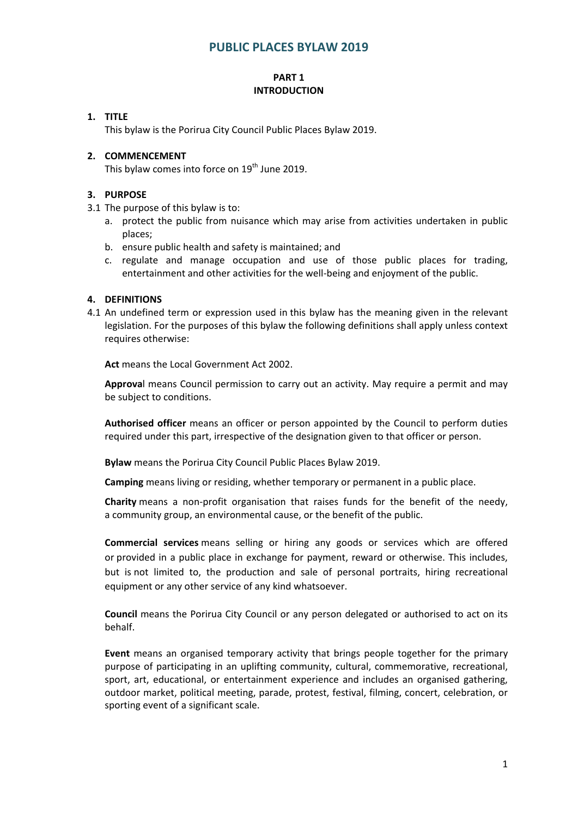# **PUBLIC PLACES BYLAW 2019**

### **PART 1 INTRODUCTION**

### **1. TITLE**

This bylaw is the Porirua City Council Public Places Bylaw 2019.

### **2. COMMENCEMENT**

This bylaw comes into force on 19<sup>th</sup> June 2019.

### **3. PURPOSE**

- 3.1 The purpose of this bylaw is to:
	- a. protect the public from nuisance which may arise from activities undertaken in public places;
	- b. ensure public health and safety is maintained; and
	- c. regulate and manage occupation and use of those public places for trading, entertainment and other activities for the well-being and enjoyment of the public.

### **4. DEFINITIONS**

4.1 An undefined term or expression used in this bylaw has the meaning given in the relevant legislation. For the purposes of this bylaw the following definitions shall apply unless context requires otherwise:

**Act** means the Local Government Act 2002.

**Approva**l means Council permission to carry out an activity. May require a permit and may be subject to conditions.

**Authorised officer** means an officer or person appointed by the Council to perform duties required under this part, irrespective of the designation given to that officer or person.

**Bylaw** means the Porirua City Council Public Places Bylaw 2019.

**Camping** means living or residing, whether temporary or permanent in a public place.

**Charity** means a non‐profit organisation that raises funds for the benefit of the needy, a community group, an environmental cause, or the benefit of the public.

**Commercial services** means selling or hiring any goods or services which are offered or provided in a public place in exchange for payment, reward or otherwise. This includes, but is not limited to, the production and sale of personal portraits, hiring recreational equipment or any other service of any kind whatsoever.

**Council** means the Porirua City Council or any person delegated or authorised to act on its behalf.

**Event** means an organised temporary activity that brings people together for the primary purpose of participating in an uplifting community, cultural, commemorative, recreational, sport, art, educational, or entertainment experience and includes an organised gathering, outdoor market, political meeting, parade, protest, festival, filming, concert, celebration, or sporting event of a significant scale.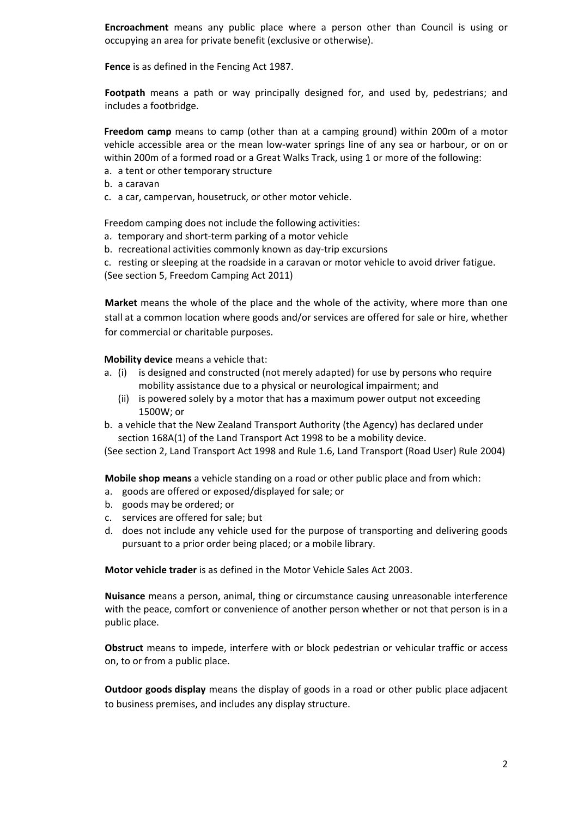**Encroachment** means any public place where a person other than Council is using or occupying an area for private benefit (exclusive or otherwise).

**Fence** is as defined in the Fencing Act 1987.

**Footpath** means a path or way principally designed for, and used by, pedestrians; and includes a footbridge.

**Freedom camp** means to camp (other than at a camping ground) within 200m of a motor vehicle accessible area or the mean low-water springs line of any sea or harbour, or on or within 200m of a formed road or a Great Walks Track, using 1 or more of the following:

- a. a tent or other temporary structure
- b. a caravan
- c. a car, campervan, housetruck, or other motor vehicle.

Freedom camping does not include the following activities:

- a. temporary and short‐term parking of a motor vehicle
- b. recreational activities commonly known as day‐trip excursions

c. resting or sleeping at the roadside in a caravan or motor vehicle to avoid driver fatigue. (See section 5, Freedom Camping Act 2011)

**Market** means the whole of the place and the whole of the activity, where more than one stall at a common location where goods and/or services are offered for sale or hire, whether for commercial or charitable purposes.

**Mobility device** means a vehicle that:

- a. (i) is designed and constructed (not merely adapted) for use by persons who require mobility assistance due to a physical or neurological impairment; and
	- (ii) is powered solely by a motor that has a maximum power output not exceeding 1500W; or
- b. a vehicle that the New Zealand Transport Authority (the Agency) has declared under section 168A(1) of the Land Transport Act 1998 to be a mobility device.

(See section 2, Land Transport Act 1998 and Rule 1.6, Land Transport (Road User) Rule 2004)

**Mobile shop means** a vehicle standing on a road or other public place and from which:

- a. goods are offered or exposed/displayed for sale; or
- b. goods may be ordered; or
- c. services are offered for sale; but
- d. does not include any vehicle used for the purpose of transporting and delivering goods pursuant to a prior order being placed; or a mobile library.

**Motor vehicle trader** is as defined in the Motor Vehicle Sales Act 2003.

**Nuisance** means a person, animal, thing or circumstance causing unreasonable interference with the peace, comfort or convenience of another person whether or not that person is in a public place.

**Obstruct** means to impede, interfere with or block pedestrian or vehicular traffic or access on, to or from a public place.

**Outdoor goods display** means the display of goods in a road or other public place adjacent to business premises, and includes any display structure.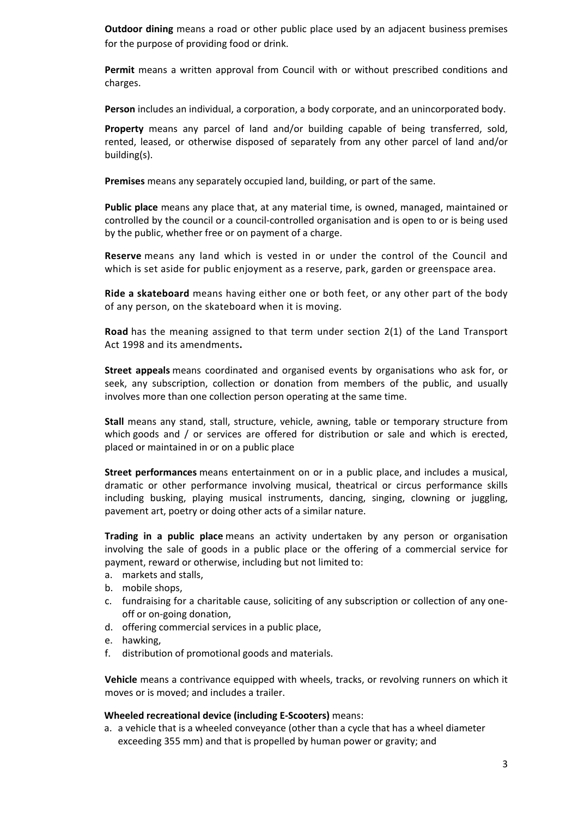**Outdoor dining** means a road or other public place used by an adjacent business premises for the purpose of providing food or drink.

**Permit** means a written approval from Council with or without prescribed conditions and charges.

**Person** includes an individual, a corporation, a body corporate, and an unincorporated body.

**Property** means any parcel of land and/or building capable of being transferred, sold, rented, leased, or otherwise disposed of separately from any other parcel of land and/or building(s).

**Premises** means any separately occupied land, building, or part of the same.

**Public place** means any place that, at any material time, is owned, managed, maintained or controlled by the council or a council‐controlled organisation and is open to or is being used by the public, whether free or on payment of a charge.

**Reserve** means any land which is vested in or under the control of the Council and which is set aside for public enjoyment as a reserve, park, garden or greenspace area.

**Ride a skateboard** means having either one or both feet, or any other part of the body of any person, on the skateboard when it is moving.

**Road** has the meaning assigned to that term under section 2(1) of the Land Transport Act 1998 and its amendments**.**

**Street appeals** means coordinated and organised events by organisations who ask for, or seek, any subscription, collection or donation from members of the public, and usually involves more than one collection person operating at the same time.

**Stall** means any stand, stall, structure, vehicle, awning, table or temporary structure from which goods and / or services are offered for distribution or sale and which is erected, placed or maintained in or on a public place

**Street performances** means entertainment on or in a public place, and includes a musical, dramatic or other performance involving musical, theatrical or circus performance skills including busking, playing musical instruments, dancing, singing, clowning or juggling, pavement art, poetry or doing other acts of a similar nature.

**Trading in a public place** means an activity undertaken by any person or organisation involving the sale of goods in a public place or the offering of a commercial service for payment, reward or otherwise, including but not limited to:

- a. markets and stalls,
- b. mobile shops,
- c. fundraising for a charitable cause, soliciting of any subscription or collection of any one‐ off or on‐going donation,
- d. offering commercial services in a public place,
- e. hawking,
- f. distribution of promotional goods and materials.

**Vehicle** means a contrivance equipped with wheels, tracks, or revolving runners on which it moves or is moved; and includes a trailer.

#### **Wheeled recreational device (including E‐Scooters)** means:

a. a vehicle that is a wheeled conveyance (other than a cycle that has a wheel diameter exceeding 355 mm) and that is propelled by human power or gravity; and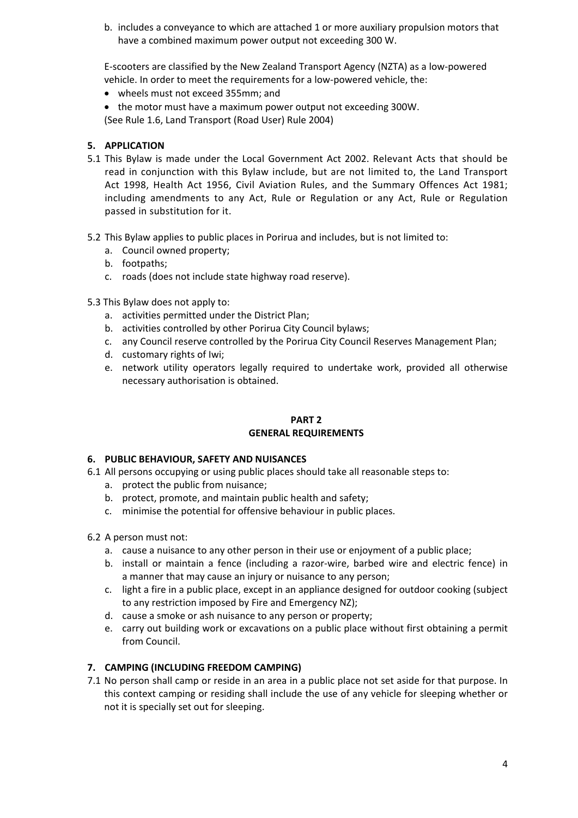b. includes a conveyance to which are attached 1 or more auxiliary propulsion motors that have a combined maximum power output not exceeding 300 W.

E‐scooters are classified by the New Zealand Transport Agency (NZTA) as a low‐powered vehicle. In order to meet the requirements for a low‐powered vehicle, the:

- wheels must not exceed 355mm; and
- the motor must have a maximum power output not exceeding 300W.

(See Rule 1.6, Land Transport (Road User) Rule 2004)

## **5. APPLICATION**

- 5.1 This Bylaw is made under the Local Government Act 2002. Relevant Acts that should be read in conjunction with this Bylaw include, but are not limited to, the Land Transport Act 1998, Health Act 1956, Civil Aviation Rules, and the Summary Offences Act 1981; including amendments to any Act, Rule or Regulation or any Act, Rule or Regulation passed in substitution for it.
- 5.2 This Bylaw applies to public places in Porirua and includes, but is not limited to:
	- a. Council owned property;
	- b. footpaths;
	- c. roads (does not include state highway road reserve).
- 5.3 This Bylaw does not apply to:
	- a. activities permitted under the District Plan;
	- b. activities controlled by other Porirua City Council bylaws;
	- c. any Council reserve controlled by the Porirua City Council Reserves Management Plan;
	- d. customary rights of Iwi;
	- e. network utility operators legally required to undertake work, provided all otherwise necessary authorisation is obtained.

### **PART 2 GENERAL REQUIREMENTS**

## **6. PUBLIC BEHAVIOUR, SAFETY AND NUISANCES**

- 6.1 All persons occupying or using public places should take all reasonable steps to:
	- a. protect the public from nuisance;
	- b. protect, promote, and maintain public health and safety;
	- c. minimise the potential for offensive behaviour in public places.
- 6.2 A person must not:
	- a. cause a nuisance to any other person in their use or enjoyment of a public place;
	- b. install or maintain a fence (including a razor‐wire, barbed wire and electric fence) in a manner that may cause an injury or nuisance to any person;
	- c. light a fire in a public place, except in an appliance designed for outdoor cooking (subject to any restriction imposed by Fire and Emergency NZ);
	- d. cause a smoke or ash nuisance to any person or property;
	- e. carry out building work or excavations on a public place without first obtaining a permit from Council.

## **7. CAMPING (INCLUDING FREEDOM CAMPING)**

7.1 No person shall camp or reside in an area in a public place not set aside for that purpose. In this context camping or residing shall include the use of any vehicle for sleeping whether or not it is specially set out for sleeping.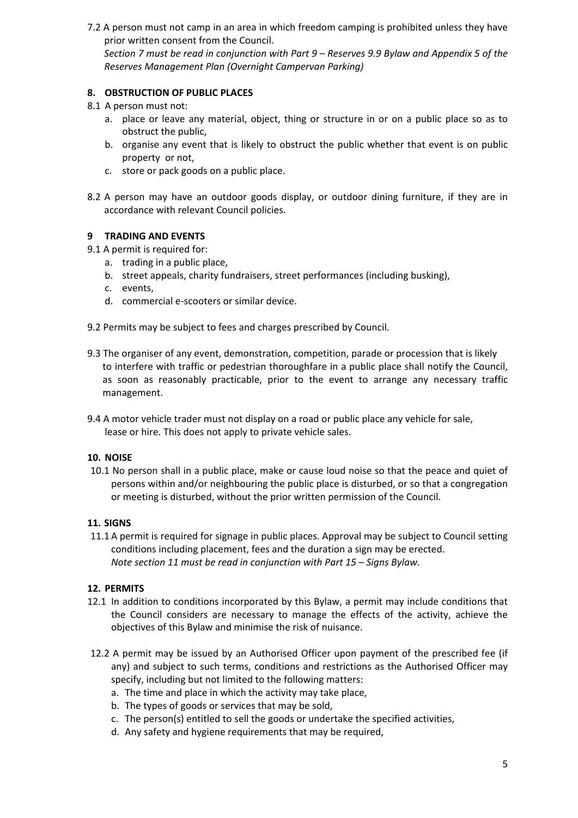7.2 A person must not camp in an area in which freedom camping is prohibited unless they have prior written consent from the Council. Section 7 must be read in conjunction with Part 9 - Reserves 9.9 Bylaw and Appendix 5 of the *Reserves Management Plan (Overnight Campervan Parking)*

## **8. OBSTRUCTION OF PUBLIC PLACES**

- 8.1 A person must not:
	- a. place or leave any material, object, thing or structure in or on a public place so as to obstruct the public,
	- b. organise any event that is likely to obstruct the public whether that event is on public property or not,
	- c. store or pack goods on a public place.
- 8.2 A person may have an outdoor goods display, or outdoor dining furniture, if they are in accordance with relevant Council policies.

### **9 TRADING AND EVENTS**

- 9.1 A permit is required for:
	- a. trading in a public place,
	- b. street appeals, charity fundraisers, street performances (including busking),
	- c. events,
	- d. commercial e‐scooters or similar device.
- 9.2 Permits may be subject to fees and charges prescribed by Council.
- 9.3 The organiser of any event, demonstration, competition, parade or procession that is likely to interfere with traffic or pedestrian thoroughfare in a public place shall notify the Council, as soon as reasonably practicable, prior to the event to arrange any necessary traffic management.
- 9.4 A motor vehicle trader must not display on a road or public place any vehicle for sale, lease or hire. This does not apply to private vehicle sales.

#### **10. NOISE**

10.1 No person shall in a public place, make or cause loud noise so that the peace and quiet of persons within and/or neighbouring the public place is disturbed, or so that a congregation or meeting is disturbed, without the prior written permission of the Council.

#### **11. SIGNS**

11.1 A permit is required for signage in public places. Approval may be subject to Council setting conditions including placement, fees and the duration a sign may be erected. *Note section 11 must be read in conjunction with Part 15 – Signs Bylaw.*

#### **12. PERMITS**

- 12.1 In addition to conditions incorporated by this Bylaw, a permit may include conditions that the Council considers are necessary to manage the effects of the activity, achieve the objectives of this Bylaw and minimise the risk of nuisance.
- 12.2 A permit may be issued by an Authorised Officer upon payment of the prescribed fee (if any) and subject to such terms, conditions and restrictions as the Authorised Officer may specify, including but not limited to the following matters:
	- a. The time and place in which the activity may take place,
	- b. The types of goods or services that may be sold,
	- c. The person(s) entitled to sell the goods or undertake the specified activities,
	- d. Any safety and hygiene requirements that may be required,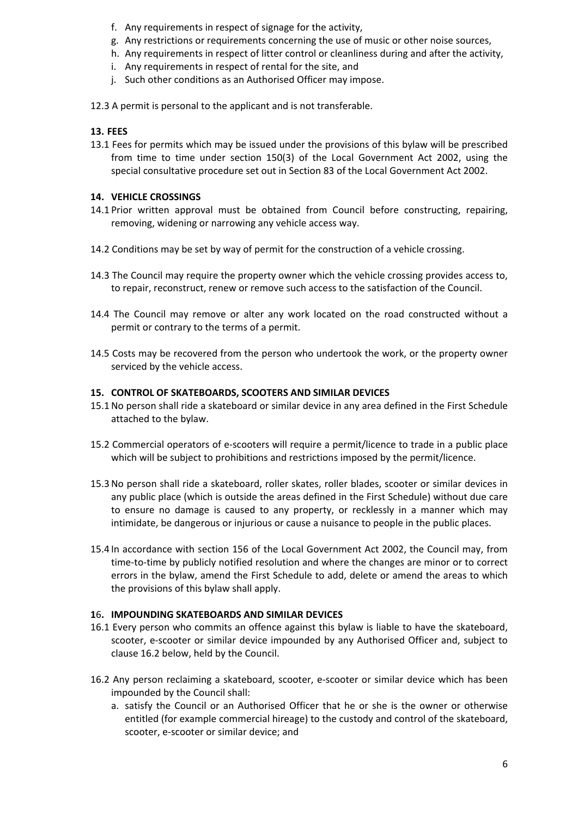- f. Any requirements in respect of signage for the activity,
- g. Any restrictions or requirements concerning the use of music or other noise sources,
- h. Any requirements in respect of litter control or cleanliness during and after the activity,
- i. Any requirements in respect of rental for the site, and
- j. Such other conditions as an Authorised Officer may impose.
- 12.3 A permit is personal to the applicant and is not transferable.

### **13. FEES**

13.1 Fees for permits which may be issued under the provisions of this bylaw will be prescribed from time to time under section 150(3) of the Local Government Act 2002, using the special consultative procedure set out in Section 83 of the Local Government Act 2002.

### **14. VEHICLE CROSSINGS**

- 14.1 Prior written approval must be obtained from Council before constructing, repairing, removing, widening or narrowing any vehicle access way.
- 14.2 Conditions may be set by way of permit for the construction of a vehicle crossing.
- 14.3 The Council may require the property owner which the vehicle crossing provides access to, to repair, reconstruct, renew or remove such access to the satisfaction of the Council.
- 14.4 The Council may remove or alter any work located on the road constructed without a permit or contrary to the terms of a permit.
- 14.5 Costs may be recovered from the person who undertook the work, or the property owner serviced by the vehicle access.

#### **15. CONTROL OF SKATEBOARDS, SCOOTERS AND SIMILAR DEVICES**

- 15.1No person shall ride a skateboard or similar device in any area defined in the First Schedule attached to the bylaw.
- 15.2 Commercial operators of e‐scooters will require a permit/licence to trade in a public place which will be subject to prohibitions and restrictions imposed by the permit/licence.
- 15.3No person shall ride a skateboard, roller skates, roller blades, scooter or similar devices in any public place (which is outside the areas defined in the First Schedule) without due care to ensure no damage is caused to any property, or recklessly in a manner which may intimidate, be dangerous or injurious or cause a nuisance to people in the public places.
- 15.4 In accordance with section 156 of the Local Government Act 2002, the Council may, from time-to-time by publicly notified resolution and where the changes are minor or to correct errors in the bylaw, amend the First Schedule to add, delete or amend the areas to which the provisions of this bylaw shall apply.

#### **1**6**. IMPOUNDING SKATEBOARDS AND SIMILAR DEVICES**

- 16.1 Every person who commits an offence against this bylaw is liable to have the skateboard, scooter, e-scooter or similar device impounded by any Authorised Officer and, subject to clause 16.2 below, held by the Council.
- 16.2 Any person reclaiming a skateboard, scooter, e‐scooter or similar device which has been impounded by the Council shall:
	- a. satisfy the Council or an Authorised Officer that he or she is the owner or otherwise entitled (for example commercial hireage) to the custody and control of the skateboard, scooter, e‐scooter or similar device; and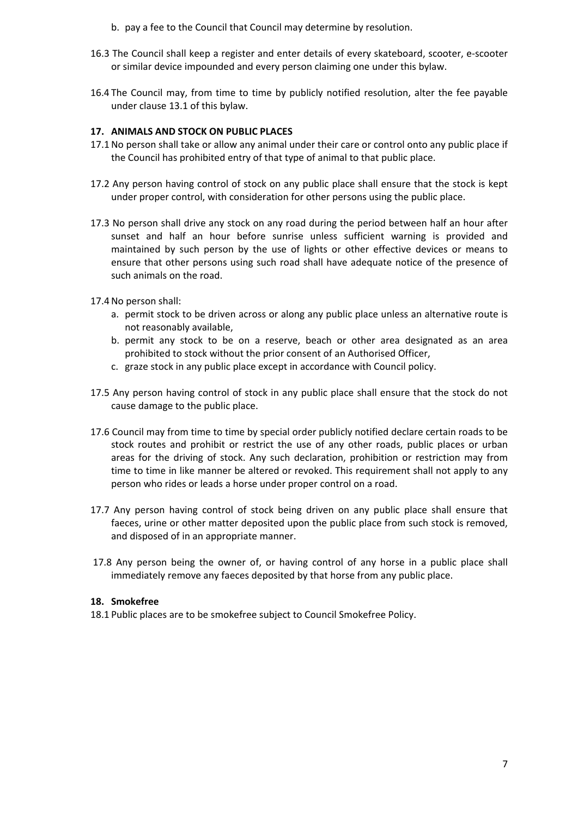- b. pay a fee to the Council that Council may determine by resolution.
- 16.3 The Council shall keep a register and enter details of every skateboard, scooter, e‐scooter or similar device impounded and every person claiming one under this bylaw.
- 16.4 The Council may, from time to time by publicly notified resolution, alter the fee payable under clause 13.1 of this bylaw.

### **17. ANIMALS AND STOCK ON PUBLIC PLACES**

- 17.1No person shall take or allow any animal under their care or control onto any public place if the Council has prohibited entry of that type of animal to that public place.
- 17.2 Any person having control of stock on any public place shall ensure that the stock is kept under proper control, with consideration for other persons using the public place.
- 17.3 No person shall drive any stock on any road during the period between half an hour after sunset and half an hour before sunrise unless sufficient warning is provided and maintained by such person by the use of lights or other effective devices or means to ensure that other persons using such road shall have adequate notice of the presence of such animals on the road.
- 17.4No person shall:
	- a. permit stock to be driven across or along any public place unless an alternative route is not reasonably available,
	- b. permit any stock to be on a reserve, beach or other area designated as an area prohibited to stock without the prior consent of an Authorised Officer,
	- c. graze stock in any public place except in accordance with Council policy.
- 17.5 Any person having control of stock in any public place shall ensure that the stock do not cause damage to the public place.
- 17.6 Council may from time to time by special order publicly notified declare certain roads to be stock routes and prohibit or restrict the use of any other roads, public places or urban areas for the driving of stock. Any such declaration, prohibition or restriction may from time to time in like manner be altered or revoked. This requirement shall not apply to any person who rides or leads a horse under proper control on a road.
- 17.7 Any person having control of stock being driven on any public place shall ensure that faeces, urine or other matter deposited upon the public place from such stock is removed, and disposed of in an appropriate manner.
- 17.8 Any person being the owner of, or having control of any horse in a public place shall immediately remove any faeces deposited by that horse from any public place.

#### **18. Smokefree**

18.1 Public places are to be smokefree subject to Council Smokefree Policy.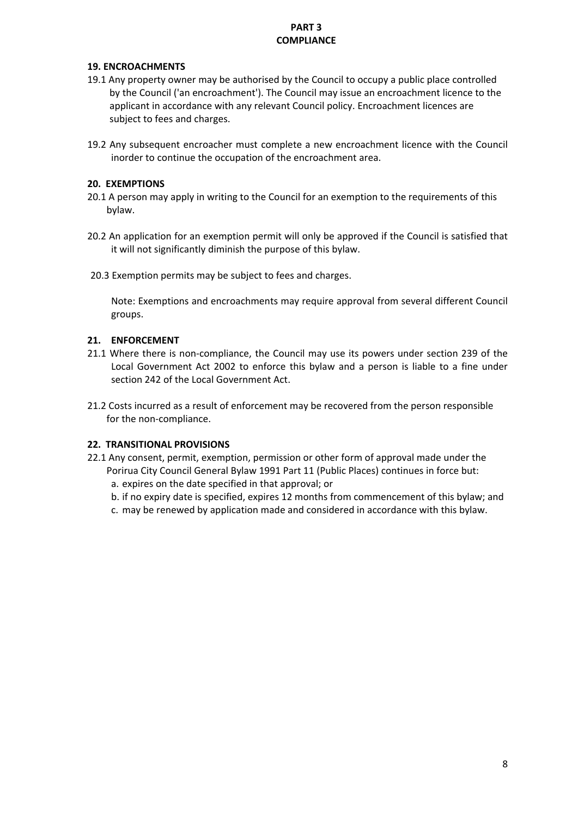## **PART 3 COMPLIANCE**

## **19. ENCROACHMENTS**

- 19.1 Any property owner may be authorised by the Council to occupy a public place controlled by the Council ('an encroachment'). The Council may issue an encroachment licence to the applicant in accordance with any relevant Council policy. Encroachment licences are subject to fees and charges.
- 19.2 Any subsequent encroacher must complete a new encroachment licence with the Council inorder to continue the occupation of the encroachment area.

### **20. EXEMPTIONS**

- 20.1 A person may apply in writing to the Council for an exemption to the requirements of this bylaw.
- 20.2 An application for an exemption permit will only be approved if the Council is satisfied that it will not significantly diminish the purpose of this bylaw.
- 20.3 Exemption permits may be subject to fees and charges.

Note: Exemptions and encroachments may require approval from several different Council groups.

### **21. ENFORCEMENT**

- 21.1 Where there is non-compliance, the Council may use its powers under section 239 of the Local Government Act 2002 to enforce this bylaw and a person is liable to a fine under section 242 of the Local Government Act.
- 21.2 Costs incurred as a result of enforcement may be recovered from the person responsible for the non‐compliance.

## **22. TRANSITIONAL PROVISIONS**

- 22.1 Any consent, permit, exemption, permission or other form of approval made under the
	- Porirua City Council General Bylaw 1991 Part 11 (Public Places) continues in force but:
	- a. expires on the date specified in that approval; or
	- b. if no expiry date is specified, expires 12 months from commencement of this bylaw; and
	- c. may be renewed by application made and considered in accordance with this bylaw.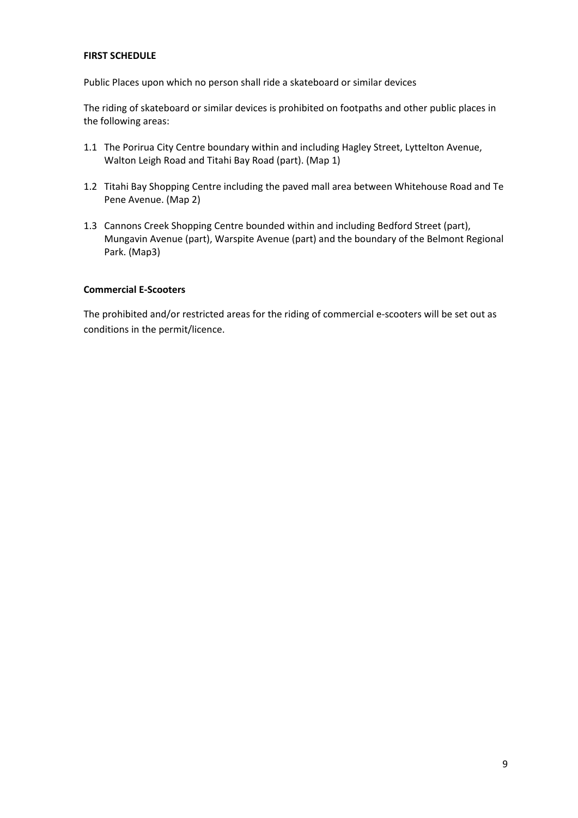#### **FIRST SCHEDULE**

Public Places upon which no person shall ride a skateboard or similar devices

The riding of skateboard or similar devices is prohibited on footpaths and other public places in the following areas:

- 1.1 The Porirua City Centre boundary within and including Hagley Street, Lyttelton Avenue, Walton Leigh Road and Titahi Bay Road (part). (Map 1)
- 1.2 Titahi Bay Shopping Centre including the paved mall area between Whitehouse Road and Te Pene Avenue. (Map 2)
- 1.3 Cannons Creek Shopping Centre bounded within and including Bedford Street (part), Mungavin Avenue (part), Warspite Avenue (part) and the boundary of the Belmont Regional Park. (Map3)

#### **Commercial E‐Scooters**

The prohibited and/or restricted areas for the riding of commercial e-scooters will be set out as conditions in the permit/licence.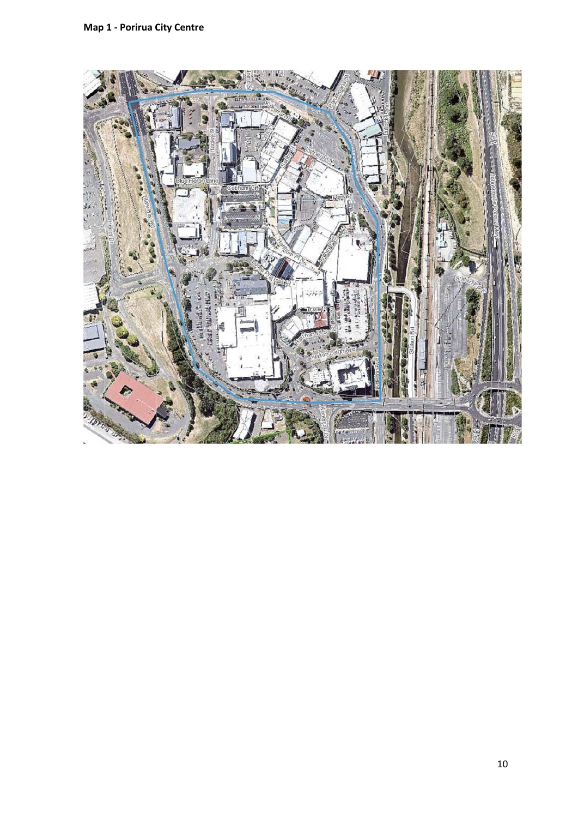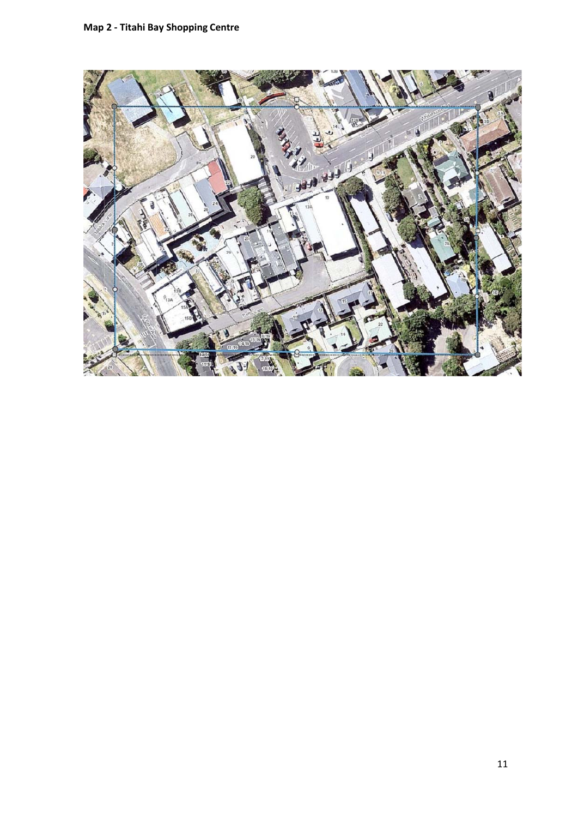